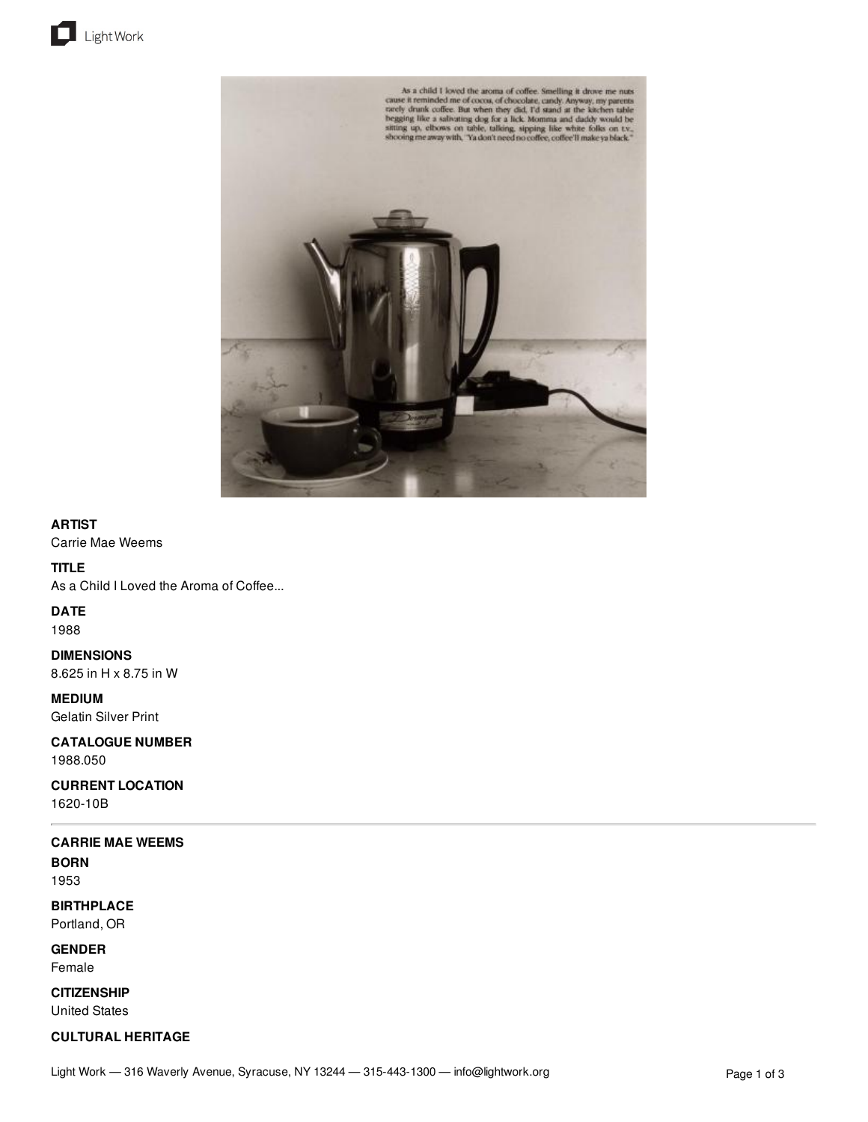





## **ARTIST**

Carrie Mae Weems

## **TITLE**

As a Child I Loved the Aroma of Coffee...

**DATE**

1988

**DIMENSIONS** 8.625 in H x 8.75 in W

**MEDIUM**

Gelatin Silver Print

**CATALOGUE NUMBER**

1988.050

**CURRENT LOCATION** 1620-10B

# **CARRIE MAE WEEMS**

**BORN** 1953

**BIRTHPLACE** Portland, OR

**GENDER** Female

**CITIZENSHIP** United States

# **CULTURAL HERITAGE**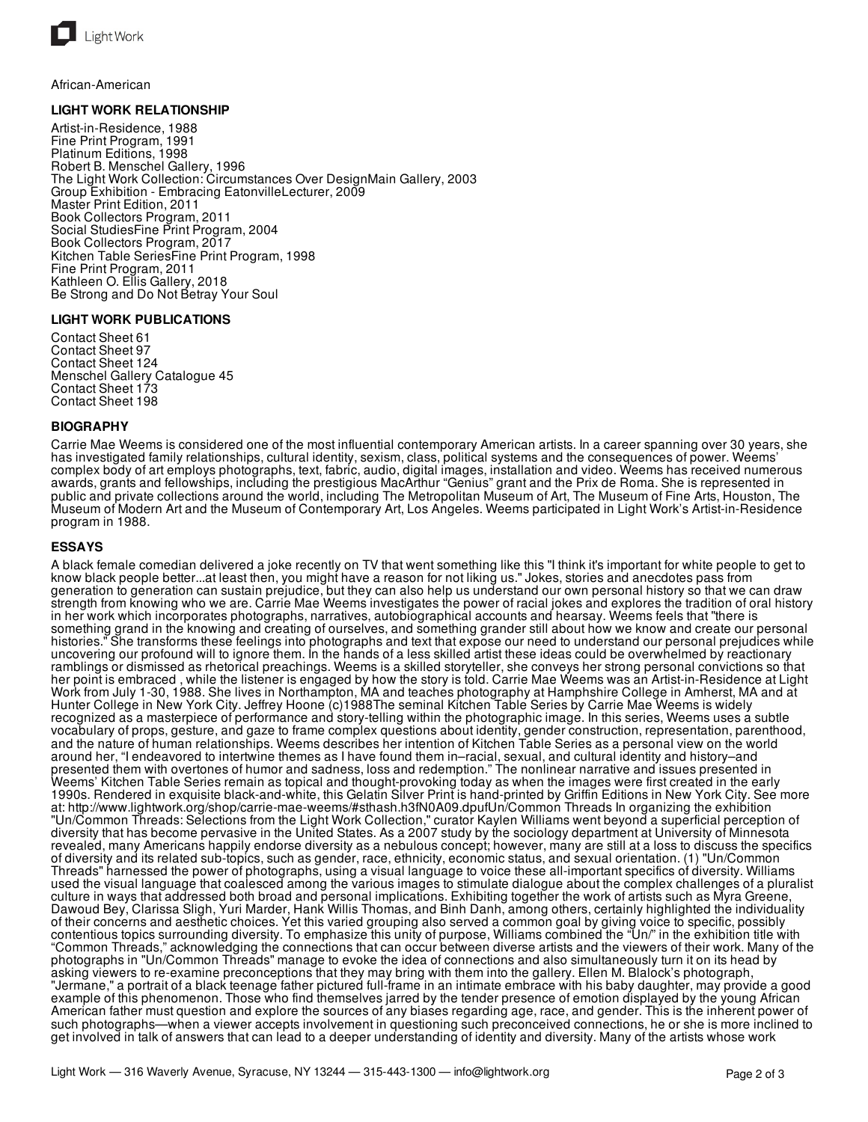

African-American

## **LIGHT WORK RELATIONSHIP**

Artist-in-Residence, 1988 Fine Print Program, 1991 Platinum Editions, 1998 Robert B. Menschel Gallery, 1996 The Light Work Collection: Circumstances Over DesignMain Gallery, 2003 Group Exhibition - Embracing EatonvilleLecturer, 2009 Master Print Edition, 2011 Book Collectors Program, 2011 Social StudiesFine Print Program, 2004 Book Collectors Program, 2017 Kitchen Table SeriesFine Print Program, 1998 Fine Print Program, 2011 Kathleen O. Ellis Gallery, 2018 Be Strong and Do Not Betray Your Soul

### **LIGHT WORK PUBLICATIONS**

Contact Sheet 61 Contact Sheet 97 Contact Sheet 124 Menschel Gallery Catalogue 45 Contact Sheet 173 Contact Sheet 198

#### **BIOGRAPHY**

Carrie Mae Weems is considered one of the most influential contemporary American artists. In a career spanning over 30 years, she has investigated family relationships, cultural identity, sexism, class, political systems and the consequences of power. Weems' complex body of art employs photographs, text, fabric, audio, digital images, installation and video. Weems has received numerous awards, grants and fellowships, including the prestigious MacArthur "Genius" grant and the Prix de Roma. She is represented in public and private collections around the world, including The Metropolitan Museum of Art, The Museum of Fine Arts, Houston, The Museum of Modern Art and the Museum of Contemporary Art, Los Angeles. Weems participated in Light Work's Artist-in-Residence program in 1988.

#### **ESSAYS**

A black female comedian delivered a joke recently on TV that went something like this "I think it's important for white people to get to know black people better...at least then, you might have a reason for not liking us." Jokes, stories and anecdotes pass from generation to generation can sustain prejudice, but they can also help us understand our own personal history so that we can draw strength from knowing who we are. Carrie Mae Weems investigates the power of racial jokes and explores the tradition of oral history in her work which incorporates photographs, narratives, autobiographical accounts and hearsay. Weems feels that "there is something grand in the knowing and creating of ourselves, and something grander still about how we know and create our personal histories." She transforms these feelings into photographs and text that expose our need to understand our personal prejudices while uncovering our profound will to ignore them. In the hands of a less skilled artist these ideas could be overwhelmed by reactionary ramblings or dismissed as rhetorical preachings. Weems is a skilled storyteller, she conveys her strong personal convictions so that her point is embraced , while the listener is engaged by how the story is told. Carrie Mae Weems was an Artist-in-Residence at Light Work from July 1-30, 1988. She lives in Northampton, MA and teaches photography at Hamphshire College in Amherst, MA and at Hunter College in New York City. Jeffrey Hoone (c)1988The seminal Kitchen Table Series by Carrie Mae Weems is widely recognized as a masterpiece of performance and story-telling within the photographic image. In this series, Weems uses a subtle vocabulary of props, gesture, and gaze to frame complex questions about identity, gender construction, representation, parenthood, and the nature of human relationships. Weems describes her intention of Kitchen Table Series as a personal view on the world around her, "I endeavored to intertwine themes as I have found them in–racial, sexual, and cultural identity and history–and presented them with overtones of humor and sadness, loss and redemption." The nonlinear narrative and issues presented in Weems' Kitchen Table Series remain as topical and thought-provoking today as when the images were first created in the early 1990s. Rendered in exquisite black-and-white, this Gelatin Silver Print is hand-printed by Griffin Editions in New York City. See more at: http://www.lightwork.org/shop/carrie-mae-weems/#sthash.h3fN0A09.dpufUn/Common Threads In organizing the exhibition "Un/Common Threads: Selections from the Light Work Collection," curator Kaylen Williams went beyond a superficial perception of diversity that has become pervasive in the United States. As a 2007 study by the sociology department at University of Minnesota revealed, many Americans happily endorse diversity as a nebulous concept; however, many are still at a loss to discuss the specifics of diversity and its related sub-topics, such as gender, race, ethnicity, economic status, and sexual orientation. (1) "Un/Common Threads" harnessed the power of photographs, using a visual language to voice these all-important specifics of diversity. Williams used the visual language that coalesced among the various images to stimulate dialogue about the complex challenges of a pluralist culture in ways that addressed both broad and personal implications. Exhibiting together the work of artists such as Myra Greene, Dawoud Bey, Clarissa Sligh, Yuri Marder, Hank Willis Thomas, and Binh Danh, among others, certainly highlighted the individuality of their concerns and aesthetic choices. Yet this varied grouping also served a common goal by giving voice to specific, possibly contentious topics surrounding diversity. To emphasize this unity of purpose, Williams combined the "Un/" in the exhibition title with "Common Threads," acknowledging the connections that can occur between diverse artists and the viewers of their work. Many of the photographs in "Un/Common Threads" manage to evoke the idea of connections and also simultaneously turn it on its head by asking viewers to re-examine preconceptions that they may bring with them into the gallery. Ellen M. Blalock's photograph, "Jermane," a portrait of a black teenage father pictured full-frame in an intimate embrace with his baby daughter, may provide a good example of this phenomenon. Those who find themselves jarred by the tender presence of emotion displayed by the young African American father must question and explore the sources of any biases regarding age, race, and gender. This is the inherent power of such photographs—when a viewer accepts involvement in questioning such preconceived connections, he or she is more inclined to get involved in talk of answers that can lead to a deeper understanding of identity and diversity. Many of the artists whose work